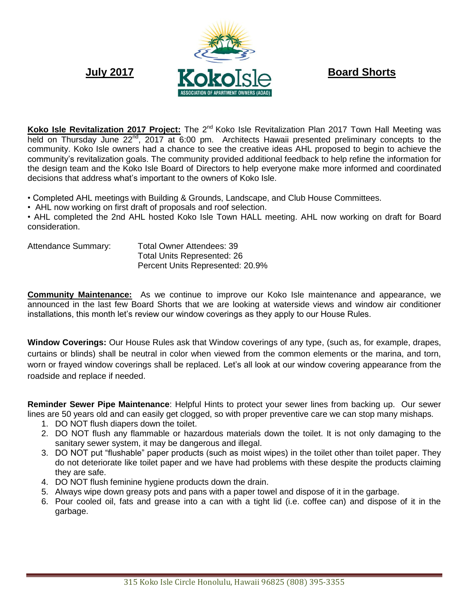

Koko Isle Revitalization 2017 Project: The 2<sup>nd</sup> Koko Isle Revitalization Plan 2017 Town Hall Meeting was held on Thursday June 22<sup>nd</sup>, 2017 at 6:00 pm. Architects Hawaii presented preliminary concepts to the community. Koko Isle owners had a chance to see the creative ideas AHL proposed to begin to achieve the community's revitalization goals. The community provided additional feedback to help refine the information for the design team and the Koko Isle Board of Directors to help everyone make more informed and coordinated decisions that address what's important to the owners of Koko Isle.

• Completed AHL meetings with Building & Grounds, Landscape, and Club House Committees.

• AHL now working on first draft of proposals and roof selection.

• AHL completed the 2nd AHL hosted Koko Isle Town HALL meeting. AHL now working on draft for Board consideration.

| <b>Attendance Summary:</b> | <b>Total Owner Attendees: 39</b>   |
|----------------------------|------------------------------------|
|                            | <b>Total Units Represented: 26</b> |
|                            | Percent Units Represented: 20.9%   |

**Community Maintenance:** As we continue to improve our Koko Isle maintenance and appearance, we announced in the last few Board Shorts that we are looking at waterside views and window air conditioner installations, this month let's review our window coverings as they apply to our House Rules.

**Window Coverings:** Our House Rules ask that Window coverings of any type, (such as, for example, drapes, curtains or blinds) shall be neutral in color when viewed from the common elements or the marina, and torn, worn or frayed window coverings shall be replaced. Let's all look at our window covering appearance from the roadside and replace if needed.

**Reminder Sewer Pipe Maintenance**: Helpful Hints to protect your sewer lines from backing up. Our sewer lines are 50 years old and can easily get clogged, so with proper preventive care we can stop many mishaps.

- 1. DO NOT flush diapers down the toilet.
- 2. DO NOT flush any flammable or hazardous materials down the toilet. It is not only damaging to the sanitary sewer system, it may be dangerous and illegal.
- 3. DO NOT put "flushable" paper products (such as moist wipes) in the toilet other than toilet paper. They do not deteriorate like toilet paper and we have had problems with these despite the products claiming they are safe.
- 4. DO NOT flush feminine hygiene products down the drain.
- 5. Always wipe down greasy pots and pans with a paper towel and dispose of it in the garbage.
- 6. Pour cooled oil, fats and grease into a can with a tight lid (i.e. coffee can) and dispose of it in the garbage.